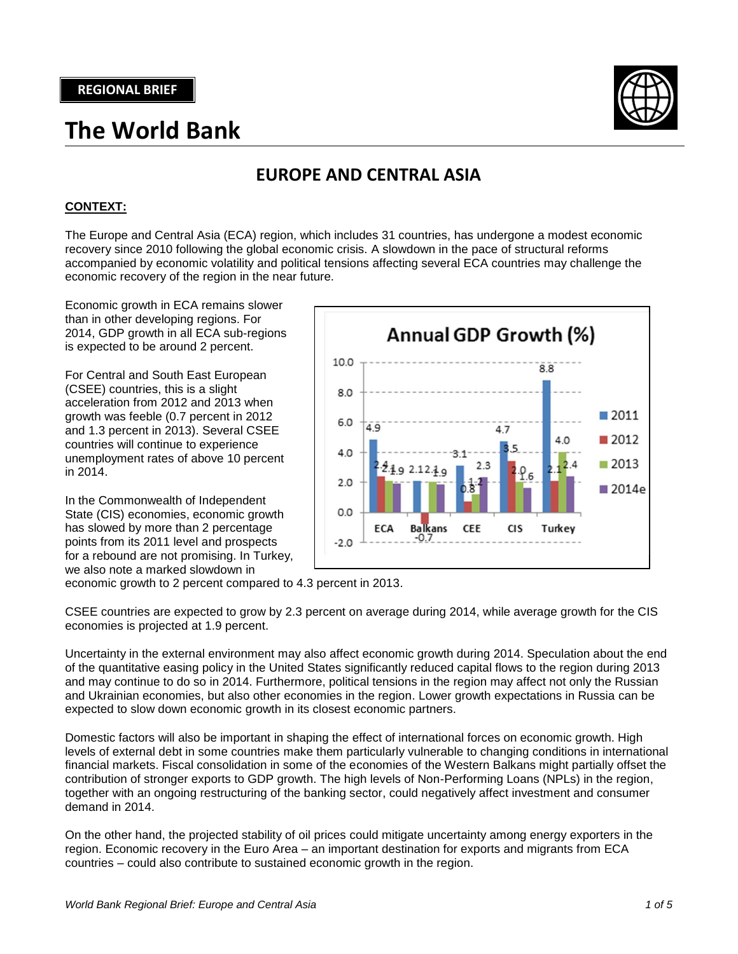# **The World Bank**



# **EUROPE AND CENTRAL ASIA**

# **CONTEXT:**

The Europe and Central Asia (ECA) region, which includes 31 countries, has undergone a modest economic recovery since 2010 following the global economic crisis. A slowdown in the pace of structural reforms accompanied by economic volatility and political tensions affecting several ECA countries may challenge the economic recovery of the region in the near future.

Economic growth in ECA remains slower than in other developing regions. For 2014, GDP growth in all ECA sub-regions is expected to be around 2 percent.

For Central and South East European (CSEE) countries, this is a slight acceleration from 2012 and 2013 when growth was feeble (0.7 percent in 2012 and 1.3 percent in 2013). Several CSEE countries will continue to experience unemployment rates of above 10 percent in 2014.

In the Commonwealth of Independent State (CIS) economies, economic growth has slowed by more than 2 percentage points from its 2011 level and prospects for a rebound are not promising. In Turkey, we also note a marked slowdown in



economic growth to 2 percent compared to 4.3 percent in 2013.

CSEE countries are expected to grow by 2.3 percent on average during 2014, while average growth for the CIS economies is projected at 1.9 percent.

Uncertainty in the external environment may also affect economic growth during 2014. Speculation about the end of the quantitative easing policy in the United States significantly reduced capital flows to the region during 2013 and may continue to do so in 2014. Furthermore, political tensions in the region may affect not only the Russian and Ukrainian economies, but also other economies in the region. Lower growth expectations in Russia can be expected to slow down economic growth in its closest economic partners.

Domestic factors will also be important in shaping the effect of international forces on economic growth. High levels of external debt in some countries make them particularly vulnerable to changing conditions in international financial markets. Fiscal consolidation in some of the economies of the Western Balkans might partially offset the contribution of stronger exports to GDP growth. The high levels of Non-Performing Loans (NPLs) in the region, together with an ongoing restructuring of the banking sector, could negatively affect investment and consumer demand in 2014.

On the other hand, the projected stability of oil prices could mitigate uncertainty among energy exporters in the region. Economic recovery in the Euro Area – an important destination for exports and migrants from ECA countries – could also contribute to sustained economic growth in the region.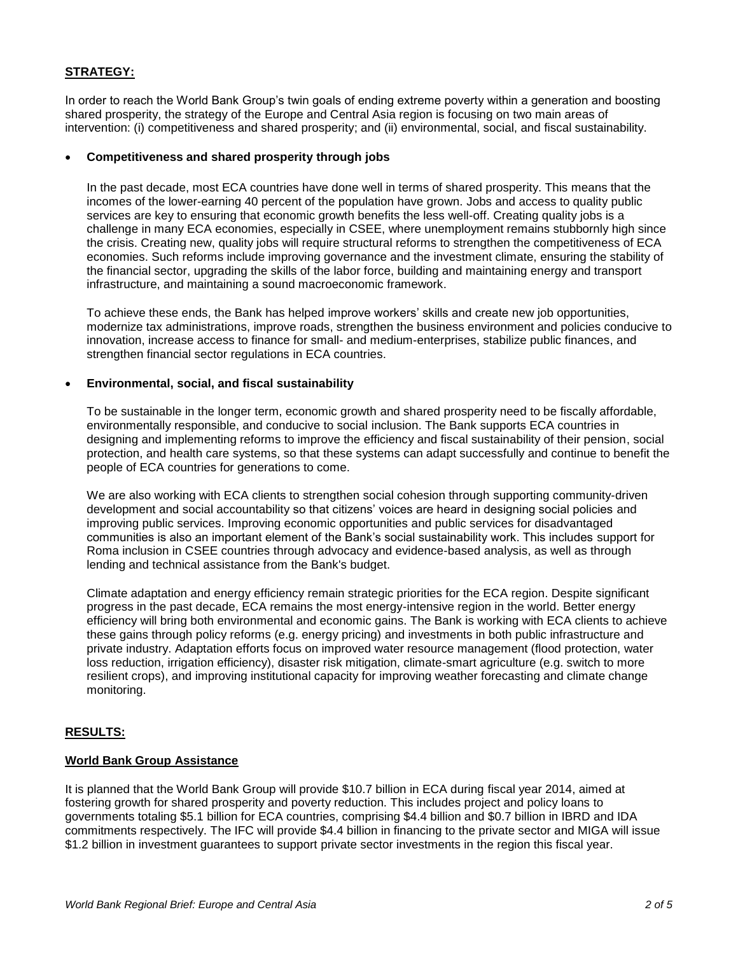## **STRATEGY:**

In order to reach the World Bank Group's twin goals of ending extreme poverty within a generation and boosting shared prosperity, the strategy of the Europe and Central Asia region is focusing on two main areas of intervention: (i) competitiveness and shared prosperity; and (ii) environmental, social, and fiscal sustainability.

#### **Competitiveness and shared prosperity through jobs**

In the past decade, most ECA countries have done well in terms of shared prosperity. This means that the incomes of the lower-earning 40 percent of the population have grown. Jobs and access to quality public services are key to ensuring that economic growth benefits the less well-off. Creating quality jobs is a challenge in many ECA economies, especially in CSEE, where unemployment remains stubbornly high since the crisis. Creating new, quality jobs will require structural reforms to strengthen the competitiveness of ECA economies. Such reforms include improving governance and the investment climate, ensuring the stability of the financial sector, upgrading the skills of the labor force, building and maintaining energy and transport infrastructure, and maintaining a sound macroeconomic framework.

To achieve these ends, the Bank has helped improve workers' skills and create new job opportunities, modernize tax administrations, improve roads, strengthen the business environment and policies conducive to innovation, increase access to finance for small- and medium-enterprises, stabilize public finances, and strengthen financial sector regulations in ECA countries.

#### **Environmental, social, and fiscal sustainability**

To be sustainable in the longer term, economic growth and shared prosperity need to be fiscally affordable, environmentally responsible, and conducive to social inclusion. The Bank supports ECA countries in designing and implementing reforms to improve the efficiency and fiscal sustainability of their pension, social protection, and health care systems, so that these systems can adapt successfully and continue to benefit the people of ECA countries for generations to come.

We are also working with ECA clients to strengthen social cohesion through supporting community-driven development and social accountability so that citizens' voices are heard in designing social policies and improving public services. Improving economic opportunities and public services for disadvantaged communities is also an important element of the Bank's social sustainability work. This includes support for Roma inclusion in CSEE countries through advocacy and evidence-based analysis, as well as through lending and technical assistance from the Bank's budget.

Climate adaptation and energy efficiency remain strategic priorities for the ECA region. Despite significant progress in the past decade, ECA remains the most energy-intensive region in the world. Better energy efficiency will bring both environmental and economic gains. The Bank is working with ECA clients to achieve these gains through policy reforms (e.g. energy pricing) and investments in both public infrastructure and private industry. Adaptation efforts focus on improved water resource management (flood protection, water loss reduction, irrigation efficiency), disaster risk mitigation, climate-smart agriculture (e.g. switch to more resilient crops), and improving institutional capacity for improving weather forecasting and climate change monitoring.

### **RESULTS:**

#### **World Bank Group Assistance**

It is planned that the World Bank Group will provide \$10.7 billion in ECA during fiscal year 2014, aimed at fostering growth for shared prosperity and poverty reduction. This includes project and policy loans to governments totaling \$5.1 billion for ECA countries, comprising \$4.4 billion and \$0.7 billion in IBRD and IDA commitments respectively. The IFC will provide \$4.4 billion in financing to the private sector and MIGA will issue \$1.2 billion in investment guarantees to support private sector investments in the region this fiscal year.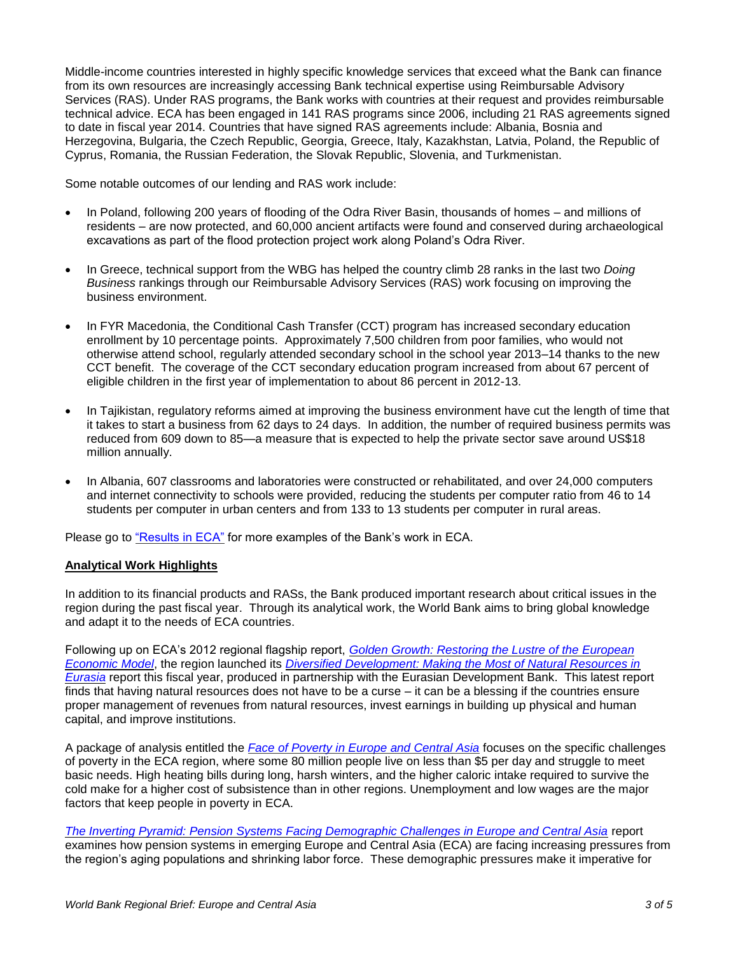Middle-income countries interested in highly specific knowledge services that exceed what the Bank can finance from its own resources are increasingly accessing Bank technical expertise using Reimbursable Advisory Services (RAS). Under RAS programs, the Bank works with countries at their request and provides reimbursable technical advice. ECA has been engaged in 141 RAS programs since 2006, including 21 RAS agreements signed to date in fiscal year 2014. Countries that have signed RAS agreements include: Albania, Bosnia and Herzegovina, Bulgaria, the Czech Republic, Georgia, Greece, Italy, Kazakhstan, Latvia, Poland, the Republic of Cyprus, Romania, the Russian Federation, the Slovak Republic, Slovenia, and Turkmenistan.

Some notable outcomes of our lending and RAS work include:

- In Poland, following 200 years of flooding of the Odra River Basin, thousands of homes and millions of residents – are now protected, and 60,000 ancient artifacts were found and conserved during archaeological excavations as part of the flood protection project work along Poland's Odra River.
- In Greece, technical support from the WBG has helped the country climb 28 ranks in the last two *Doing Business* rankings through our Reimbursable Advisory Services (RAS) work focusing on improving the business environment.
- In FYR Macedonia, the Conditional Cash Transfer (CCT) program has increased secondary education enrollment by 10 percentage points. Approximately 7,500 children from poor families, who would not otherwise attend school, regularly attended secondary school in the school year 2013–14 thanks to the new CCT benefit. The coverage of the CCT secondary education program increased from about 67 percent of eligible children in the first year of implementation to about 86 percent in 2012-13.
- In Tajikistan, regulatory reforms aimed at improving the business environment have cut the length of time that it takes to start a business from 62 days to 24 days. In addition, the number of required business permits was reduced from 609 down to 85—a measure that is expected to help the private sector save around US\$18 million annually.
- In Albania, 607 classrooms and laboratories were constructed or rehabilitated, and over 24,000 computers and internet connectivity to schools were provided, reducing the students per computer ratio from 46 to 14 students per computer in urban centers and from 133 to 13 students per computer in rural areas.

Please go to ["Results in ECA"](http://www.worldbank.org/en/region/eca/brief/results-in-europe-and-central-asia) for more examples of the Bank's work in ECA.

### **Analytical Work Highlights**

In addition to its financial products and RASs, the Bank produced important research about critical issues in the region during the past fiscal year. Through its analytical work, the World Bank aims to bring global knowledge and adapt it to the needs of ECA countries.

Following up on ECA's 2012 regional flagship report, *[Golden Growth: Restoring the Lustre of the European](http://www.worldbank.org/en/region/eca/publication/golden-growth)  [Economic Model](http://www.worldbank.org/en/region/eca/publication/golden-growth)*, the region launched its *[Diversified Development: Making the Most of Natural Resources in](http://www.worldbank.org/en/news/press-release/2014/02/03/eurasia-should-make-the-most-of-its-natural-resources-says-world-bank)  [Eurasia](http://www.worldbank.org/en/news/press-release/2014/02/03/eurasia-should-make-the-most-of-its-natural-resources-says-world-bank)* report this fiscal year, produced in partnership with the Eurasian Development Bank. This latest report finds that having natural resources does not have to be a curse – it can be a blessing if the countries ensure proper management of revenues from natural resources, invest earnings in building up physical and human capital, and improve institutions.

A package of analysis entitled the *[Face of Poverty in Europe and Central Asia](http://www.worldbank.org/en/news/feature/2014/02/10/face-of-poverty-in-europe-and-central-asia)* focuses on the specific challenges of poverty in the ECA region, where some 80 million people live on less than \$5 per day and struggle to meet basic needs. High heating bills during long, harsh winters, and the higher caloric intake required to survive the cold make for a higher cost of subsistence than in other regions. Unemployment and low wages are the major factors that keep people in poverty in ECA.

*[The Inverting Pyramid: Pension Systems Facing Demographic Challenges in Europe and Central Asia](http://www.worldbank.org/en/news/feature/2014/02/21/changing-demographics-call-for-urgent-pension-reforms-in-europe-and-central-asia)* report examines how pension systems in emerging Europe and Central Asia (ECA) are facing increasing pressures from the region's aging populations and shrinking labor force. These demographic pressures make it imperative for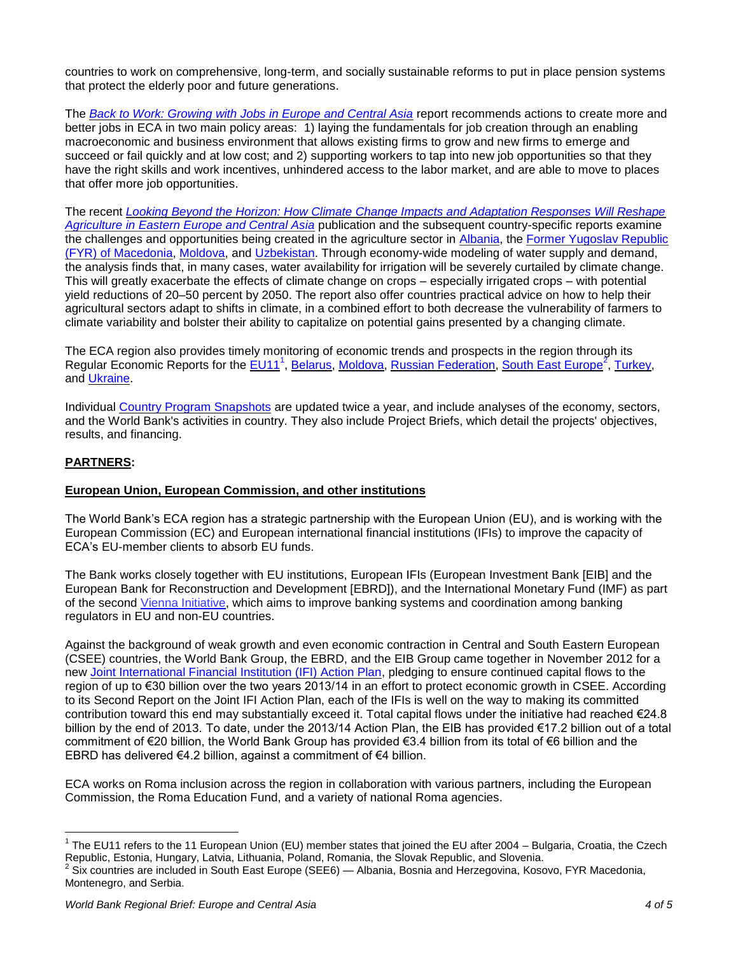countries to work on comprehensive, long-term, and socially sustainable reforms to put in place pension systems that protect the elderly poor and future generations.

The *[Back to Work: Growing with Jobs in Europe and Central Asia](http://www.worldbank.org/en/news/press-release/2013/11/07/growing-with-jobs-in-europe-and-central-asia)* report recommends actions to create more and better jobs in ECA in two main policy areas: 1) laying the fundamentals for job creation through an enabling macroeconomic and business environment that allows existing firms to grow and new firms to emerge and succeed or fail quickly and at low cost; and 2) supporting workers to tap into new job opportunities so that they have the right skills and work incentives, unhindered access to the labor market, and are able to move to places that offer more job opportunities.

The recent *[Looking Beyond the Horizon: How Climate Change Impacts and Adaptation Responses Will Reshape](http://www.worldbank.org/en/news/press-release/2013/04/04/world-bank-sees-climate-change-cutting-crop-production-in-eastern-europe-and-central-asia)  [Agriculture in Eastern Europe and Central Asia](http://www.worldbank.org/en/news/press-release/2013/04/04/world-bank-sees-climate-change-cutting-crop-production-in-eastern-europe-and-central-asia)* publication and the subsequent country-specific reports examine the challenges and opportunities being created in the agriculture sector in [Albania,](http://www.worldbank.org/en/news/press-release/2013/12/05/reducing-vulnerability-of-albanian-agriculture-to-climate-change) the [Former Yugoslav Republic](http://www.worldbank.org/en/news/press-release/2013/12/05/reducing-vulnerability-of-macedonian-agriculture-to-climate-change)  (FYR) of [Macedonia,](http://www.worldbank.org/en/news/press-release/2013/12/05/reducing-vulnerability-of-macedonian-agriculture-to-climate-change) [Moldova,](http://www.worldbank.org/en/news/press-release/2013/12/05/reducing-the-vulnerability-of-moldovas-agriculture-to-climate-change) and [Uzbekistan.](http://www.worldbank.org/en/news/press-release/2013/12/05/reducing-the-vulnerability-of-uzbekistans-agriculture-to-climate-change) Through economy-wide modeling of water supply and demand, the analysis finds that, in many cases, water availability for irrigation will be severely curtailed by climate change. This will greatly exacerbate the effects of climate change on crops – especially irrigated crops – with potential yield reductions of 20–50 percent by 2050. The report also offer countries practical advice on how to help their agricultural sectors adapt to shifts in climate, in a combined effort to both decrease the vulnerability of farmers to climate variability and bolster their ability to capitalize on potential gains presented by a changing climate.

The ECA region also provides timely monitoring of economic trends and prospects in the region through its Regular Economic Reports for the [EU11](http://www.worldbank.org/en/news/press-release/2013/12/18/eu11-growth-slowly-picks-up-but-ensuring-shared-prosperity-continues-to-be-challenging-says-world-bank)<sup>1</sup>, [Belarus,](http://www.worldbank.org/en/news/press-release/2014/03/28/belarus-needs-to-secure-macroeconomic-stability-and-undertake-sequenced-structural-reforms-to-strengthen-competitiveness) [Moldova,](http://www.worldbank.org/en/news/press-release/2014/04/02/reforms-should-continue-to-shelter-moldova-from-external-risks-and-ensure-inclusive-growth-says-world-bank) [Russian Federation,](http://www.worldbank.org/en/news/press-release/2014/03/26/russian-economic-report-31) [South East Europe](http://www.worldbank.org/en/news/press-release/2013/12/09/south-east-europe-on-slow-road-to-recovery-according-to-world-bank)<sup>2</sup>, [Turkey,](http://www.worldbank.org/content/dam/Worldbank/document/eca/tr-reb-dec-2013-eng.pdf) and [Ukraine.](http://www.worldbank.org/en/news/press-release/2014/04/04/reforms-critical-for-ukraine-to-improve-living-standards)

Individual [Country Program Snapshots](http://www.worldbank.org/en/region/eca/brief/country-program-snapshots) are updated twice a year, and include analyses of the economy, sectors, and the World Bank's activities in country. They also include Project Briefs, which detail the projects' objectives, results, and financing.

### **PARTNERS:**

 $\overline{a}$ 

### **European Union, European Commission, and other institutions**

The World Bank's ECA region has a strategic partnership with the European Union (EU), and is working with the European Commission (EC) and European international financial institutions (IFIs) to improve the capacity of ECA's EU-member clients to absorb EU funds.

The Bank works closely together with EU institutions, European IFIs (European Investment Bank [EIB] and the European Bank for Reconstruction and Development [EBRD]), and the International Monetary Fund (IMF) as part of the second [Vienna Initiative,](http://vienna-initiative.com/) which aims to improve banking systems and coordination among banking regulators in EU and non-EU countries.

Against the background of weak growth and even economic contraction in Central and South Eastern European (CSEE) countries, the World Bank Group, the EBRD, and the EIB Group came together in November 2012 for a new [Joint International Financial Institution \(IFI\) Action Plan,](http://www.worldbank.org/en/news/press-release/2012/11/08/new-joint-ifi-plan-for-growth-central-southeastern-europe) pledging to ensure continued capital flows to the region of up to €30 billion over the two years 2013/14 in an effort to protect economic growth in CSEE. According to its Second Report on the Joint IFI Action Plan, each of the IFIs is well on the way to making its committed contribution toward this end may substantially exceed it. Total capital flows under the initiative had reached €24.8 billion by the end of 2013. To date, under the 2013/14 Action Plan, the EIB has provided €17.2 billion out of a total commitment of €20 billion, the World Bank Group has provided €3.4 billion from its total of €6 billion and the EBRD has delivered €4.2 billion, against a commitment of €4 billion.

ECA works on Roma inclusion across the region in collaboration with various partners, including the European Commission, the Roma Education Fund, and a variety of national Roma agencies.

<sup>&</sup>lt;sup>1</sup> The EU11 refers to the 11 European Union (EU) member states that joined the EU after 2004 – Bulgaria, Croatia, the Czech Republic, Estonia, Hungary, Latvia, Lithuania, Poland, Romania, the Slovak Republic, and Slovenia.

 $^2$  Six countries are included in South East Europe (SEE6) — Albania, Bosnia and Herzegovina, Kosovo, FYR Macedonia, Montenegro, and Serbia.